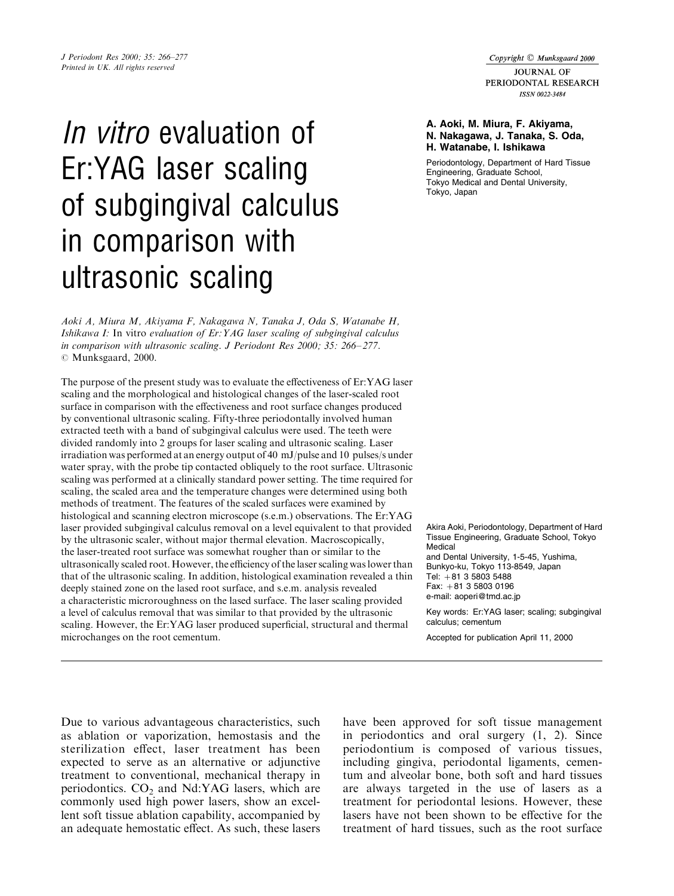Copyright © Munksgaard 2000

**IOURNAL OF** PERIODONTAL RESEARCH **ISSN 0022-3484** 

# J Periodont Res 2000; 35: 266-277

Printed in UK. All rights reserved

# In vitro evaluation of Er:YAG laser scaling of subgingival calculus in comparison with ultrasonic scaling

Aoki A, Miura M, Akiyama F, Nakagawa N, Tanaka J, Oda S, Watanabe H, Ishikawa I: In vitro evaluation of Er:YAG laser scaling of subgingival calculus in comparison with ultrasonic scaling. J Periodont Res 2000; 35: 266-277.  $\odot$  Munksgaard, 2000.

The purpose of the present study was to evaluate the effectiveness of Er:YAG laser scaling and the morphological and histological changes of the laser-scaled root surface in comparison with the effectiveness and root surface changes produced by conventional ultrasonic scaling. Fifty-three periodontally involved human extracted teeth with a band of subgingival calculus were used. The teeth were divided randomly into 2 groups for laser scaling and ultrasonic scaling. Laser irradiation was performed at an energy output of 40 mJ/pulse and 10 pulses/s under water spray, with the probe tip contacted obliquely to the root surface. Ultrasonic scaling was performed at a clinically standard power setting. The time required for scaling, the scaled area and the temperature changes were determined using both methods of treatment. The features of the scaled surfaces were examined by histological and scanning electron microscope (s.e.m.) observations. The Er:YAG laser provided subgingival calculus removal on a level equivalent to that provided by the ultrasonic scaler, without major thermal elevation. Macroscopically, the laser-treated root surface was somewhat rougher than or similar to the ultrasonically scaled root. However, the efficiency of the laser scaling was lower than that of the ultrasonic scaling. In addition, histological examination revealed a thin deeply stained zone on the lased root surface, and s.e.m. analysis revealed a characteristic microroughness on the lased surface. The laser scaling provided a level of calculus removal that was similar to that provided by the ultrasonic scaling. However, the Er:YAG laser produced superficial, structural and thermal microchanges on the root cementum.

#### A. Aoki, M. Miura, F. Akiyama, N. Nakagawa, J. Tanaka, S. Oda, H. Watanabe, I. Ishikawa

Periodontology, Department of Hard Tissue Engineering, Graduate School, Tokyo Medical and Dental University, Tokyo, Japan

Akira Aoki, Periodontology, Department of Hard Tissue Engineering, Graduate School, Tokyo Medical and Dental University, 1-5-45, Yushima, Bunkyo-ku, Tokyo 113-8549, Japan Tel:  $+81$  3 5803 5488 Fax:  $+81$  3 5803 0196 e-mail: aoperi@tmd.ac.jp

Key words: Er:YAG laser; scaling; subgingival calculus; cementum

Accepted for publication April 11, 2000

Due to various advantageous characteristics, such as ablation or vaporization, hemostasis and the sterilization effect, laser treatment has been expected to serve as an alternative or adjunctive treatment to conventional, mechanical therapy in periodontics.  $CO<sub>2</sub>$  and Nd:YAG lasers, which are commonly used high power lasers, show an excellent soft tissue ablation capability, accompanied by an adequate hemostatic effect. As such, these lasers have been approved for soft tissue management in periodontics and oral surgery (1, 2). Since periodontium is composed of various tissues, including gingiva, periodontal ligaments, cementum and alveolar bone, both soft and hard tissues are always targeted in the use of lasers as a treatment for periodontal lesions. However, these lasers have not been shown to be effective for the treatment of hard tissues, such as the root surface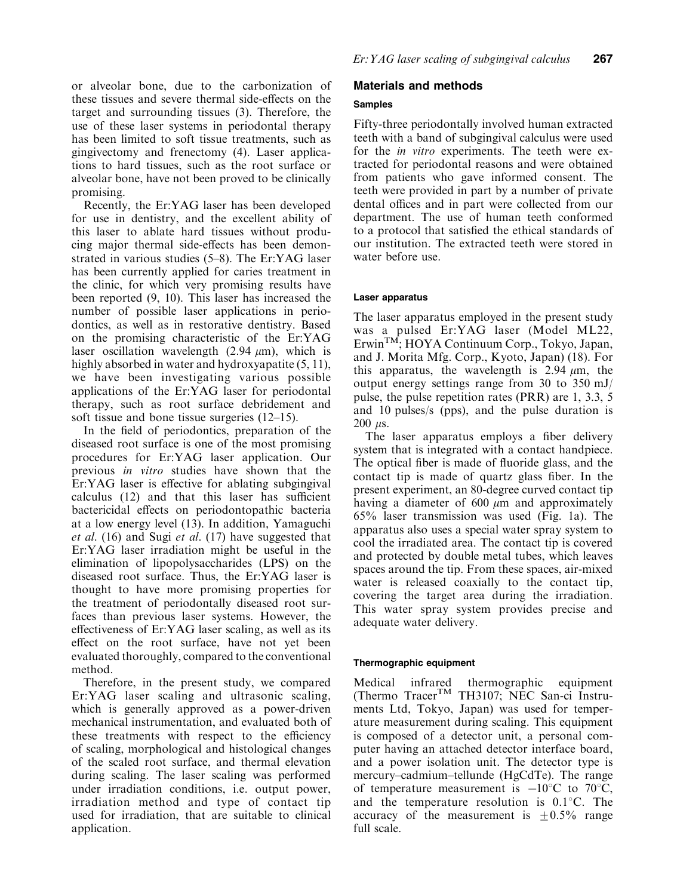or alveolar bone, due to the carbonization of these tissues and severe thermal side-effects on the target and surrounding tissues (3). Therefore, the use of these laser systems in periodontal therapy has been limited to soft tissue treatments, such as gingivectomy and frenectomy (4). Laser applications to hard tissues, such as the root surface or alveolar bone, have not been proved to be clinically promising.

Recently, the Er:YAG laser has been developed for use in dentistry, and the excellent ability of this laser to ablate hard tissues without producing major thermal side-effects has been demonstrated in various studies  $(5-8)$ . The Er:YAG laser has been currently applied for caries treatment in the clinic, for which very promising results have been reported (9, 10). This laser has increased the number of possible laser applications in periodontics, as well as in restorative dentistry. Based on the promising characteristic of the Er:YAG laser oscillation wavelength  $(2.94 \mu m)$ , which is highly absorbed in water and hydroxyapatite (5, 11), we have been investigating various possible applications of the Er:YAG laser for periodontal therapy, such as root surface debridement and soft tissue and bone tissue surgeries  $(12–15)$ .

In the field of periodontics, preparation of the diseased root surface is one of the most promising procedures for Er:YAG laser application. Our previous in vitro studies have shown that the  $Er:YAG$  laser is effective for ablating subgingival  $calculus (12)$  and that this laser has sufficient bactericidal effects on periodontopathic bacteria at a low energy level (13). In addition, Yamaguchi et al. (16) and Sugi et al. (17) have suggested that Er:YAG laser irradiation might be useful in the elimination of lipopolysaccharides (LPS) on the diseased root surface. Thus, the Er:YAG laser is thought to have more promising properties for the treatment of periodontally diseased root surfaces than previous laser systems. However, the effectiveness of  $Er:YAG$  laser scaling, as well as its effect on the root surface, have not yet been evaluated thoroughly, compared to the conventional method.

Therefore, in the present study, we compared Er:YAG laser scaling and ultrasonic scaling, which is generally approved as a power-driven mechanical instrumentation, and evaluated both of these treatments with respect to the efficiency of scaling, morphological and histological changes of the scaled root surface, and thermal elevation during scaling. The laser scaling was performed under irradiation conditions, i.e. output power, irradiation method and type of contact tip used for irradiation, that are suitable to clinical application.

# Materials and methods

## Samples

Fifty-three periodontally involved human extracted teeth with a band of subgingival calculus were used for the in vitro experiments. The teeth were extracted for periodontal reasons and were obtained from patients who gave informed consent. The teeth were provided in part by a number of private dental offices and in part were collected from our department. The use of human teeth conformed to a protocol that satisfied the ethical standards of our institution. The extracted teeth were stored in water before use.

# Laser apparatus

The laser apparatus employed in the present study was a pulsed Er:YAG laser (Model ML22, ErwinTM; HOYA Continuum Corp., Tokyo, Japan, and J. Morita Mfg. Corp., Kyoto, Japan) (18). For this apparatus, the wavelength is 2.94  $\mu$ m, the output energy settings range from 30 to 350 mJ/ pulse, the pulse repetition rates (PRR) are 1, 3.3, 5 and 10 pulses/s (pps), and the pulse duration is  $200$  us.

The laser apparatus employs a fiber delivery system that is integrated with a contact handpiece. The optical fiber is made of fluoride glass, and the contact tip is made of quartz glass fiber. In the present experiment, an 80-degree curved contact tip having a diameter of 600  $\mu$ m and approximately 65% laser transmission was used (Fig. 1a). The apparatus also uses a special water spray system to cool the irradiated area. The contact tip is covered and protected by double metal tubes, which leaves spaces around the tip. From these spaces, air-mixed water is released coaxially to the contact tip, covering the target area during the irradiation. This water spray system provides precise and adequate water delivery.

# Thermographic equipment

Medical infrared thermographic equipment (Thermo TracerTM TH3107; NEC San-ci Instruments Ltd, Tokyo, Japan) was used for temperature measurement during scaling. This equipment is composed of a detector unit, a personal computer having an attached detector interface board, and a power isolation unit. The detector type is mercury-cadmium-tellunde (HgCdTe). The range of temperature measurement is  $-10^{\circ}$ C to 70<sup>°</sup>C, and the temperature resolution is  $0.1\degree$ C. The accuracy of the measurement is  $\pm 0.5\%$  range full scale.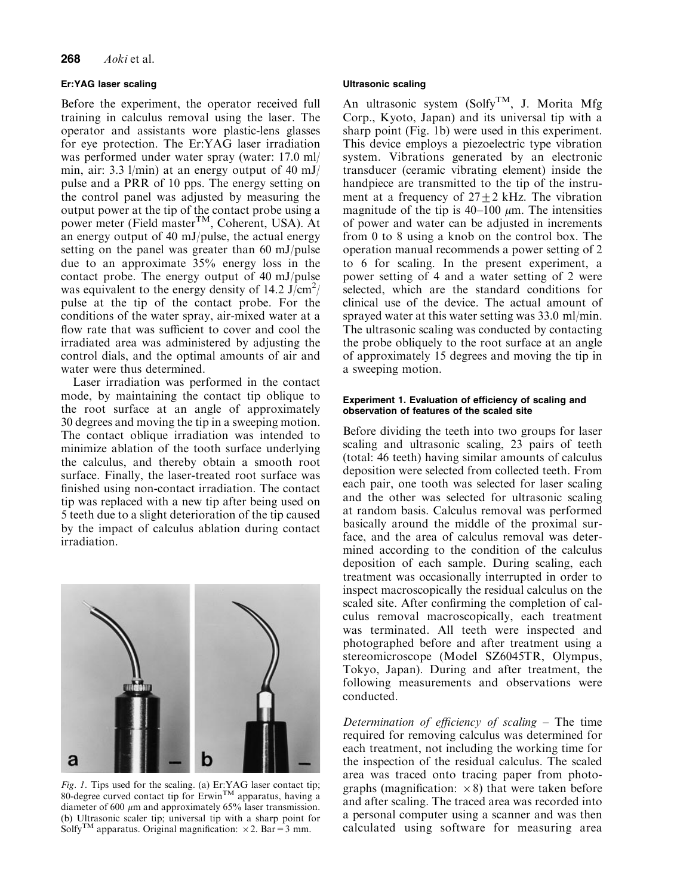#### Er:YAG laser scaling

Before the experiment, the operator received full training in calculus removal using the laser. The operator and assistants wore plastic-lens glasses for eye protection. The Er:YAG laser irradiation was performed under water spray (water: 17.0 ml/ min, air: 3.3 l/min) at an energy output of 40 mJ/ pulse and a PRR of 10 pps. The energy setting on the control panel was adjusted by measuring the output power at the tip of the contact probe using a power meter (Field master<sup>TM</sup>, Coherent, USA). At an energy output of 40 mJ/pulse, the actual energy setting on the panel was greater than 60 mJ/pulse due to an approximate 35% energy loss in the contact probe. The energy output of 40 mJ/pulse was equivalent to the energy density of 14.2  $\text{J/cm}^2$ / pulse at the tip of the contact probe. For the conditions of the water spray, air-mixed water at a flow rate that was sufficient to cover and cool the irradiated area was administered by adjusting the control dials, and the optimal amounts of air and water were thus determined.

Laser irradiation was performed in the contact mode, by maintaining the contact tip oblique to the root surface at an angle of approximately 30 degrees and moving the tip in a sweeping motion. The contact oblique irradiation was intended to minimize ablation of the tooth surface underlying the calculus, and thereby obtain a smooth root surface. Finally, the laser-treated root surface was finished using non-contact irradiation. The contact tip was replaced with a new tip after being used on 5 teeth due to a slight deterioration of the tip caused by the impact of calculus ablation during contact irradiation.



Fig. 1. Tips used for the scaling. (a)  $Er:YAG$  laser contact tip; 80-degree curved contact tip for  $E$ rwin<sup>TM</sup> apparatus, having a diameter of 600  $\mu$ m and approximately 65% laser transmission. (b) Ultrasonic scaler tip; universal tip with a sharp point for Solfy<sup>TM</sup> apparatus. Original magnification:  $\times$  2. Bar = 3 mm.

#### Ultrasonic scaling

An ultrasonic system (Solfy<sup>TM</sup>, J. Morita Mfg Corp., Kyoto, Japan) and its universal tip with a sharp point (Fig. 1b) were used in this experiment. This device employs a piezoelectric type vibration system. Vibrations generated by an electronic transducer (ceramic vibrating element) inside the handpiece are transmitted to the tip of the instrument at a frequency of  $27 \pm 2$  kHz. The vibration magnitude of the tip is  $40-100 \mu m$ . The intensities of power and water can be adjusted in increments from 0 to 8 using a knob on the control box. The operation manual recommends a power setting of 2 to 6 for scaling. In the present experiment, a power setting of 4 and a water setting of 2 were selected, which are the standard conditions for clinical use of the device. The actual amount of sprayed water at this water setting was 33.0 ml/min. The ultrasonic scaling was conducted by contacting the probe obliquely to the root surface at an angle of approximately 15 degrees and moving the tip in a sweeping motion.

#### Experiment 1. Evaluation of efficiency of scaling and observation of features of the scaled site

Before dividing the teeth into two groups for laser scaling and ultrasonic scaling, 23 pairs of teeth (total: 46 teeth) having similar amounts of calculus deposition were selected from collected teeth. From each pair, one tooth was selected for laser scaling and the other was selected for ultrasonic scaling at random basis. Calculus removal was performed basically around the middle of the proximal surface, and the area of calculus removal was determined according to the condition of the calculus deposition of each sample. During scaling, each treatment was occasionally interrupted in order to inspect macroscopically the residual calculus on the scaled site. After confirming the completion of calculus removal macroscopically, each treatment was terminated. All teeth were inspected and photographed before and after treatment using a stereomicroscope (Model SZ6045TR, Olympus, Tokyo, Japan). During and after treatment, the following measurements and observations were conducted.

Determination of efficiency of scaling  $-$  The time required for removing calculus was determined for each treatment, not including the working time for the inspection of the residual calculus. The scaled area was traced onto tracing paper from photographs (magnification:  $\times$ 8) that were taken before and after scaling. The traced area was recorded into a personal computer using a scanner and was then calculated using software for measuring area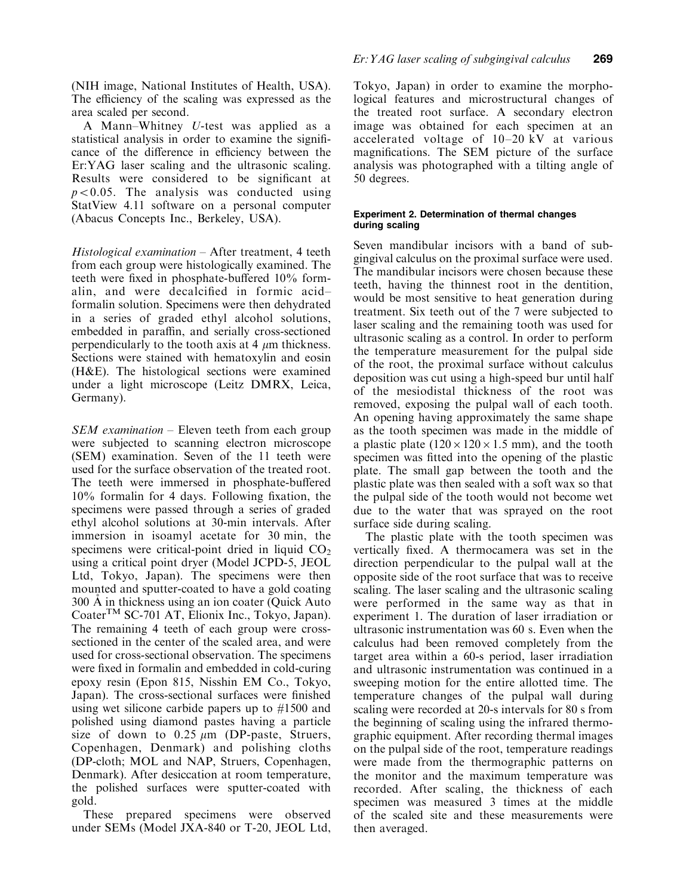(NIH image, National Institutes of Health, USA). The efficiency of the scaling was expressed as the area scaled per second.

A Mann–Whitney U-test was applied as a statistical analysis in order to examine the significance of the difference in efficiency between the Er:YAG laser scaling and the ultrasonic scaling. Results were considered to be significant at  $p<0.05$ . The analysis was conducted using StatView 4.11 software on a personal computer (Abacus Concepts Inc., Berkeley, USA).

 $Historological$  examination  $-$  After treatment, 4 teeth from each group were histologically examined. The teeth were fixed in phosphate-buffered 10% formalin, and were decalcified in formic acidformalin solution. Specimens were then dehydrated in a series of graded ethyl alcohol solutions, embedded in paraffin, and serially cross-sectioned perpendicularly to the tooth axis at 4  $\mu$ m thickness. Sections were stained with hematoxylin and eosin (H&E). The histological sections were examined under a light microscope (Leitz DMRX, Leica, Germany).

 $SEM$  examination  $-$  Eleven teeth from each group were subjected to scanning electron microscope (SEM) examination. Seven of the 11 teeth were used for the surface observation of the treated root. The teeth were immersed in phosphate-buffered  $10\%$  formalin for 4 days. Following fixation, the specimens were passed through a series of graded ethyl alcohol solutions at 30-min intervals. After immersion in isoamyl acetate for 30 min, the specimens were critical-point dried in liquid  $CO<sub>2</sub>$ using a critical point dryer (Model JCPD-5, JEOL Ltd, Tokyo, Japan). The specimens were then mounted and sputter-coated to have a gold coating  $300$  Å in thickness using an ion coater (Quick Auto CoaterTM SC-701 AT, Elionix Inc., Tokyo, Japan). The remaining 4 teeth of each group were crosssectioned in the center of the scaled area, and were used for cross-sectional observation. The specimens were fixed in formalin and embedded in cold-curing epoxy resin (Epon 815, Nisshin EM Co., Tokyo, Japan). The cross-sectional surfaces were finished using wet silicone carbide papers up to #1500 and polished using diamond pastes having a particle size of down to  $0.25 \mu m$  (DP-paste, Struers, Copenhagen, Denmark) and polishing cloths (DP-cloth; MOL and NAP, Struers, Copenhagen, Denmark). After desiccation at room temperature, the polished surfaces were sputter-coated with gold.

These prepared specimens were observed under SEMs (Model JXA-840 or T-20, JEOL Ltd, Tokyo, Japan) in order to examine the morphological features and microstructural changes of the treated root surface. A secondary electron image was obtained for each specimen at an accelerated voltage of  $10-20$  kV at various magnifications. The SEM picture of the surface analysis was photographed with a tilting angle of 50 degrees.

#### Experiment 2. Determination of thermal changes during scaling

Seven mandibular incisors with a band of subgingival calculus on the proximal surface were used. The mandibular incisors were chosen because these teeth, having the thinnest root in the dentition, would be most sensitive to heat generation during treatment. Six teeth out of the 7 were subjected to laser scaling and the remaining tooth was used for ultrasonic scaling as a control. In order to perform the temperature measurement for the pulpal side of the root, the proximal surface without calculus deposition was cut using a high-speed bur until half of the mesiodistal thickness of the root was removed, exposing the pulpal wall of each tooth. An opening having approximately the same shape as the tooth specimen was made in the middle of a plastic plate  $(120 \times 120 \times 1.5 \text{ mm})$ , and the tooth specimen was fitted into the opening of the plastic plate. The small gap between the tooth and the plastic plate was then sealed with a soft wax so that the pulpal side of the tooth would not become wet due to the water that was sprayed on the root surface side during scaling.

The plastic plate with the tooth specimen was vertically fixed. A thermocamera was set in the direction perpendicular to the pulpal wall at the opposite side of the root surface that was to receive scaling. The laser scaling and the ultrasonic scaling were performed in the same way as that in experiment 1. The duration of laser irradiation or ultrasonic instrumentation was 60 s. Even when the calculus had been removed completely from the target area within a 60-s period, laser irradiation and ultrasonic instrumentation was continued in a sweeping motion for the entire allotted time. The temperature changes of the pulpal wall during scaling were recorded at 20-s intervals for 80 s from the beginning of scaling using the infrared thermographic equipment. After recording thermal images on the pulpal side of the root, temperature readings were made from the thermographic patterns on the monitor and the maximum temperature was recorded. After scaling, the thickness of each specimen was measured 3 times at the middle of the scaled site and these measurements were then averaged.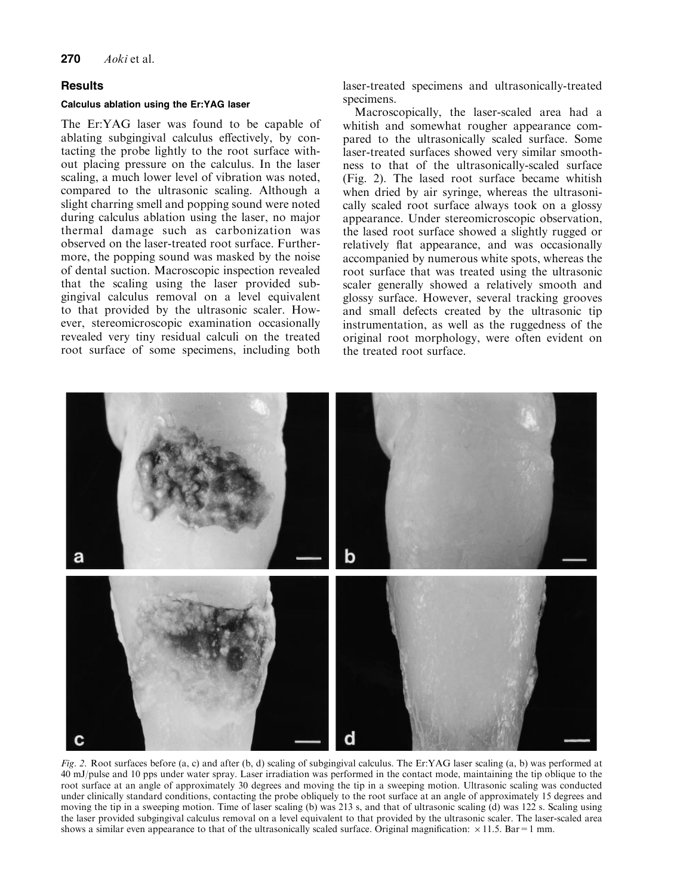### **Results**

#### Calculus ablation using the Er:YAG laser

The Er:YAG laser was found to be capable of ablating subgingival calculus effectively, by contacting the probe lightly to the root surface without placing pressure on the calculus. In the laser scaling, a much lower level of vibration was noted, compared to the ultrasonic scaling. Although a slight charring smell and popping sound were noted during calculus ablation using the laser, no major thermal damage such as carbonization was observed on the laser-treated root surface. Furthermore, the popping sound was masked by the noise of dental suction. Macroscopic inspection revealed that the scaling using the laser provided subgingival calculus removal on a level equivalent to that provided by the ultrasonic scaler. However, stereomicroscopic examination occasionally revealed very tiny residual calculi on the treated root surface of some specimens, including both laser-treated specimens and ultrasonically-treated specimens.

Macroscopically, the laser-scaled area had a whitish and somewhat rougher appearance compared to the ultrasonically scaled surface. Some laser-treated surfaces showed very similar smoothness to that of the ultrasonically-scaled surface (Fig. 2). The lased root surface became whitish when dried by air syringe, whereas the ultrasonically scaled root surface always took on a glossy appearance. Under stereomicroscopic observation, the lased root surface showed a slightly rugged or relatively flat appearance, and was occasionally accompanied by numerous white spots, whereas the root surface that was treated using the ultrasonic scaler generally showed a relatively smooth and glossy surface. However, several tracking grooves and small defects created by the ultrasonic tip instrumentation, as well as the ruggedness of the original root morphology, were often evident on the treated root surface.



Fig. 2. Root surfaces before (a, c) and after (b, d) scaling of subgingival calculus. The Er:YAG laser scaling (a, b) was performed at 40 mJ/pulse and 10 pps under water spray. Laser irradiation was performed in the contact mode, maintaining the tip oblique to the root surface at an angle of approximately 30 degrees and moving the tip in a sweeping motion. Ultrasonic scaling was conducted under clinically standard conditions, contacting the probe obliquely to the root surface at an angle of approximately 15 degrees and moving the tip in a sweeping motion. Time of laser scaling (b) was 213 s, and that of ultrasonic scaling (d) was 122 s. Scaling using the laser provided subgingival calculus removal on a level equivalent to that provided by the ultrasonic scaler. The laser-scaled area shows a similar even appearance to that of the ultrasonically scaled surface. Original magnification:  $\times$  11.5. Bar = 1 mm.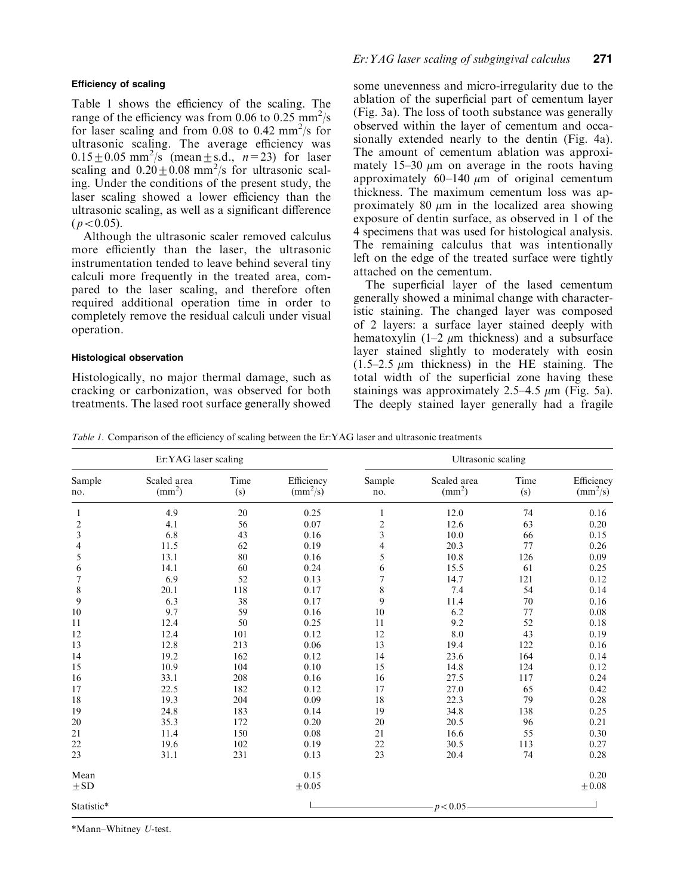#### Efficiency of scaling

Table 1 shows the efficiency of the scaling. The range of the efficiency was from 0.06 to 0.25  $\text{mm}^2/\text{s}$ for laser scaling and from 0.08 to 0.42 mm<sup>2</sup>/s for ultrasonic scaling. The average efficiency was  $0.15 \pm 0.05$  mm<sup>2</sup>/s (mean  $\pm$  s.d.,  $n=23$ ) for laser scaling and  $0.20 \pm 0.08$  mm<sup>2</sup>/s for ultrasonic scaling. Under the conditions of the present study, the laser scaling showed a lower efficiency than the ultrasonic scaling, as well as a significant difference  $(p<0.05)$ .

Although the ultrasonic scaler removed calculus more efficiently than the laser, the ultrasonic instrumentation tended to leave behind several tiny calculi more frequently in the treated area, compared to the laser scaling, and therefore often required additional operation time in order to completely remove the residual calculi under visual operation.

#### Histological observation

Histologically, no major thermal damage, such as cracking or carbonization, was observed for both treatments. The lased root surface generally showed some unevenness and micro-irregularity due to the ablation of the superficial part of cementum layer (Fig. 3a). The loss of tooth substance was generally observed within the layer of cementum and occasionally extended nearly to the dentin (Fig. 4a). The amount of cementum ablation was approximately 15 $-30 \mu$ m on average in the roots having approximately  $60-140 \mu m$  of original cementum thickness. The maximum cementum loss was approximately 80  $\mu$ m in the localized area showing exposure of dentin surface, as observed in 1 of the 4 specimens that was used for histological analysis. The remaining calculus that was intentionally left on the edge of the treated surface were tightly attached on the cementum.

The superficial layer of the lased cementum generally showed a minimal change with characteristic staining. The changed layer was composed of 2 layers: a surface layer stained deeply with hematoxylin  $(1-2 \mu m)$  thickness) and a subsurface layer stained slightly to moderately with eosin  $(1.5-2.5 \mu m)$  thickness) in the HE staining. The total width of the superficial zone having these stainings was approximately 2.5–4.5  $\mu$ m (Fig. 5a). The deeply stained layer generally had a fragile

Table 1. Comparison of the efficiency of scaling between the Er:YAG laser and ultrasonic treatments

| Er:YAG laser scaling    |                                |             |                                        | Ultrasonic scaling      |                                |             |                                        |
|-------------------------|--------------------------------|-------------|----------------------------------------|-------------------------|--------------------------------|-------------|----------------------------------------|
| Sample<br>no.           | Scaled area<br>$\text{(mm}^2)$ | Time<br>(s) | Efficiency<br>$\text{(mm}^2/\text{s})$ | Sample<br>no.           | Scaled area<br>$\text{(mm}^2)$ | Time<br>(s) | Efficiency<br>$\text{(mm}^2/\text{s})$ |
| 1                       | 4.9                            | 20          | 0.25                                   |                         | 12.0                           | 74          | 0.16                                   |
| $\overline{\mathbf{c}}$ | 4.1                            | 56          | 0.07                                   | $\overline{\mathbf{c}}$ | 12.6                           | 63          | 0.20                                   |
| 3                       | 6.8                            | 43          | 0.16                                   | 3                       | 10.0                           | 66          | 0.15                                   |
| 4                       | 11.5                           | 62          | 0.19                                   | 4                       | 20.3                           | 77          | 0.26                                   |
| 5                       | 13.1                           | 80          | 0.16                                   | 5                       | 10.8                           | 126         | 0.09                                   |
| 6                       | 14.1                           | 60          | 0.24                                   | 6                       | 15.5                           | 61          | 0.25                                   |
| 7                       | 6.9                            | 52          | 0.13                                   | 7                       | 14.7                           | 121         | 0.12                                   |
| 8                       | 20.1                           | 118         | 0.17                                   | $\,$ 8 $\,$             | 7.4                            | 54          | 0.14                                   |
| 9                       | 6.3                            | 38          | 0.17                                   | 9                       | 11.4                           | 70          | 0.16                                   |
| 10                      | 9.7                            | 59          | 0.16                                   | 10                      | 6.2                            | 77          | 0.08                                   |
| 11                      | 12.4                           | 50          | 0.25                                   | 11                      | 9.2                            | 52          | 0.18                                   |
| 12                      | 12.4                           | 101         | 0.12                                   | 12                      | 8.0                            | 43          | 0.19                                   |
| 13                      | 12.8                           | 213         | 0.06                                   | 13                      | 19.4                           | 122         | 0.16                                   |
| 14                      | 19.2                           | 162         | 0.12                                   | 14                      | 23.6                           | 164         | 0.14                                   |
| 15                      | 10.9                           | 104         | 0.10                                   | 15                      | 14.8                           | 124         | 0.12                                   |
| 16                      | 33.1                           | 208         | 0.16                                   | 16                      | 27.5                           | 117         | 0.24                                   |
| 17                      | 22.5                           | 182         | 0.12                                   | 17                      | 27.0                           | 65          | 0.42                                   |
| 18                      | 19.3                           | 204         | 0.09                                   | 18                      | 22.3                           | 79          | 0.28                                   |
| 19                      | 24.8                           | 183         | 0.14                                   | 19                      | 34.8                           | 138         | 0.25                                   |
| 20                      | 35.3                           | 172         | 0.20                                   | 20                      | 20.5                           | 96          | 0.21                                   |
| 21                      | 11.4                           | 150         | 0.08                                   | 21                      | 16.6                           | 55          | 0.30                                   |
| 22                      | 19.6                           | 102         | 0.19                                   | 22                      | 30.5                           | 113         | 0.27                                   |
| 23                      | 31.1                           | 231         | 0.13                                   | 23                      | 20.4                           | 74          | 0.28                                   |
| Mean                    |                                |             | 0.15                                   |                         |                                |             | 0.20                                   |
| $\pm$ SD                |                                |             | $\pm 0.05$                             |                         |                                |             | $\pm 0.08$                             |
| Statistic*              |                                |             |                                        |                         | p < 0.05                       |             |                                        |

\*Mann±Whitney U-test.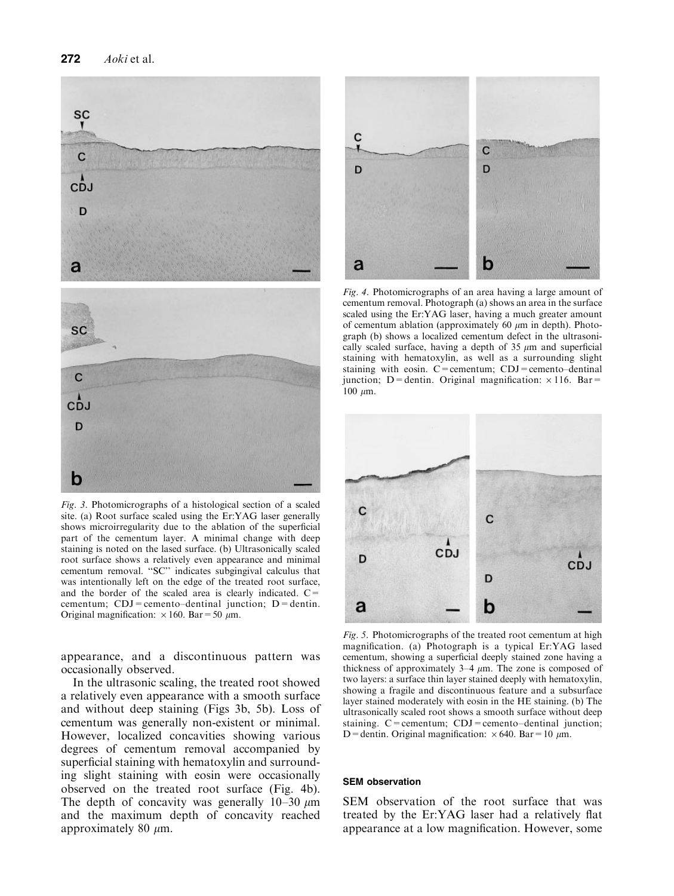

Fig. 3. Photomicrographs of a histological section of a scaled site. (a) Root surface scaled using the Er:YAG laser generally shows microirregularity due to the ablation of the superficial part of the cementum layer. A minimal change with deep staining is noted on the lased surface. (b) Ultrasonically scaled root surface shows a relatively even appearance and minimal cementum removal. "SC" indicates subgingival calculus that was intentionally left on the edge of the treated root surface, and the border of the scaled area is clearly indicated.  $C=$ cementum;  $CDJ =$ cemento-dentinal junction;  $D =$ dentin. Original magnification:  $\times$  160. Bar = 50  $\mu$ m.

appearance, and a discontinuous pattern was occasionally observed.

In the ultrasonic scaling, the treated root showed a relatively even appearance with a smooth surface and without deep staining (Figs 3b, 5b). Loss of cementum was generally non-existent or minimal. However, localized concavities showing various degrees of cementum removal accompanied by superficial staining with hematoxylin and surrounding slight staining with eosin were occasionally observed on the treated root surface (Fig. 4b). The depth of concavity was generally  $10-30 \mu m$ and the maximum depth of concavity reached approximately 80  $\mu$ m.



Fig. 4. Photomicrographs of an area having a large amount of cementum removal. Photograph (a) shows an area in the surface scaled using the Er:YAG laser, having a much greater amount of cementum ablation (approximately 60  $\mu$ m in depth). Photograph (b) shows a localized cementum defect in the ultrasonically scaled surface, having a depth of  $35 \mu m$  and superficial staining with hematoxylin, as well as a surrounding slight staining with eosin.  $C =$ cementum;  $CDJ =$ cemento-dentinal junction: D=dentin. Original magnification:  $\times$  116. Bar=  $100 \mu m$ .



Fig. 5. Photomicrographs of the treated root cementum at high magnification. (a) Photograph is a typical Er:YAG lased cementum, showing a superficial deeply stained zone having a thickness of approximately  $3-4 \mu m$ . The zone is composed of two layers: a surface thin layer stained deeply with hematoxylin, showing a fragile and discontinuous feature and a subsurface layer stained moderately with eosin in the HE staining. (b) The ultrasonically scaled root shows a smooth surface without deep staining.  $C =$ cementum;  $CDJ =$ cemento-dentinal junction; D = dentin. Original magnification:  $\times$  640. Bar = 10  $\mu$ m.

#### SEM observation

SEM observation of the root surface that was treated by the Er:YAG laser had a relatively flat appearance at a low magnification. However, some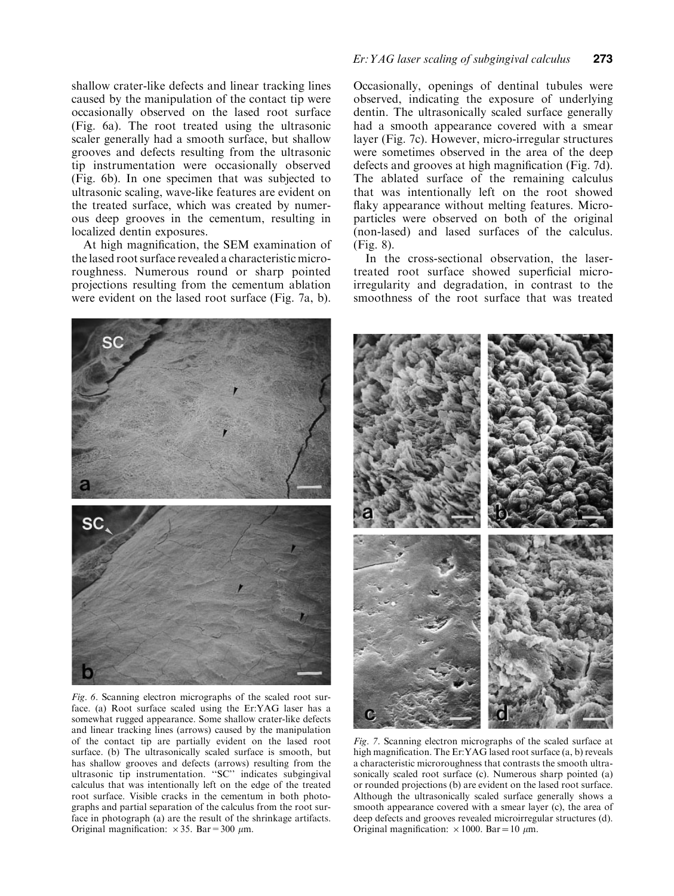shallow crater-like defects and linear tracking lines caused by the manipulation of the contact tip were occasionally observed on the lased root surface (Fig. 6a). The root treated using the ultrasonic scaler generally had a smooth surface, but shallow grooves and defects resulting from the ultrasonic tip instrumentation were occasionally observed (Fig. 6b). In one specimen that was subjected to ultrasonic scaling, wave-like features are evident on the treated surface, which was created by numerous deep grooves in the cementum, resulting in localized dentin exposures.

At high magnification, the SEM examination of the lased root surface revealed a characteristic microroughness. Numerous round or sharp pointed projections resulting from the cementum ablation were evident on the lased root surface (Fig. 7a, b).



Fig. 6. Scanning electron micrographs of the scaled root surface. (a) Root surface scaled using the Er:YAG laser has a somewhat rugged appearance. Some shallow crater-like defects and linear tracking lines (arrows) caused by the manipulation of the contact tip are partially evident on the lased root surface. (b) The ultrasonically scaled surface is smooth, but has shallow grooves and defects (arrows) resulting from the ultrasonic tip instrumentation. "SC" indicates subgingival calculus that was intentionally left on the edge of the treated root surface. Visible cracks in the cementum in both photographs and partial separation of the calculus from the root surface in photograph (a) are the result of the shrinkage artifacts. Original magnification:  $\times 35$ . Bar = 300  $\mu$ m.

# Er: YAG laser scaling of subgingival calculus 273

Occasionally, openings of dentinal tubules were observed, indicating the exposure of underlying dentin. The ultrasonically scaled surface generally had a smooth appearance covered with a smear layer (Fig. 7c). However, micro-irregular structures were sometimes observed in the area of the deep defects and grooves at high magnification (Fig. 7d). The ablated surface of the remaining calculus that was intentionally left on the root showed flaky appearance without melting features. Microparticles were observed on both of the original (non-lased) and lased surfaces of the calculus. (Fig. 8).

In the cross-sectional observation, the lasertreated root surface showed superficial microirregularity and degradation, in contrast to the smoothness of the root surface that was treated



Fig. 7. Scanning electron micrographs of the scaled surface at high magnification. The Er:YAG lased root surface (a, b) reveals a characteristic microroughness that contrasts the smooth ultrasonically scaled root surface (c). Numerous sharp pointed (a) or rounded projections (b) are evident on the lased root surface. Although the ultrasonically scaled surface generally shows a smooth appearance covered with a smear layer (c), the area of deep defects and grooves revealed microirregular structures (d). Original magnification:  $\times 1000$ . Bar = 10  $\mu$ m.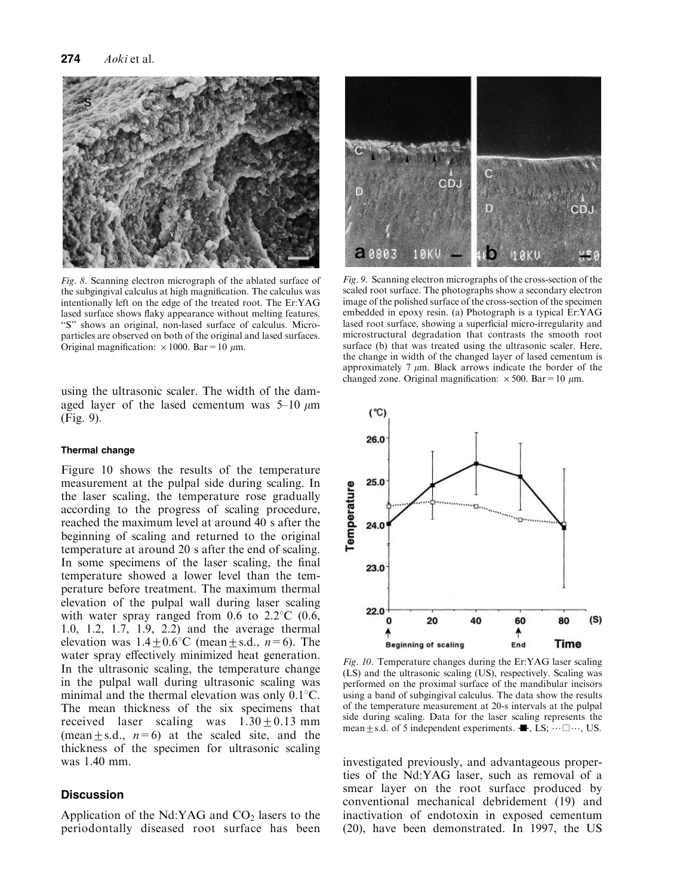

Fig. 8. Scanning electron micrograph of the ablated surface of the subgingival calculus at high magnification. The calculus was intentionally left on the edge of the treated root. The Er:YAG lased surface shows flaky appearance without melting features. "S" shows an original, non-lased surface of calculus. Microparticles are observed on both of the original and lased surfaces. Original magnification:  $\times 1000$ . Bar = 10  $\mu$ m.

using the ultrasonic scaler. The width of the damaged layer of the lased cementum was  $5-10 \mu m$ (Fig. 9).

#### Thermal change

Figure 10 shows the results of the temperature measurement at the pulpal side during scaling. In the laser scaling, the temperature rose gradually according to the progress of scaling procedure, reached the maximum level at around 40 s after the beginning of scaling and returned to the original temperature at around 20 s after the end of scaling. In some specimens of the laser scaling, the final temperature showed a lower level than the temperature before treatment. The maximum thermal elevation of the pulpal wall during laser scaling with water spray ranged from 0.6 to  $2.2^{\circ}$ C (0.6, 1.0, 1.2, 1.7, 1.9, 2.2) and the average thermal elevation was  $1.4 \pm 0.6^{\circ}$ C (mean  $\pm$  s.d.,  $n=6$ ). The water spray effectively minimized heat generation. In the ultrasonic scaling, the temperature change in the pulpal wall during ultrasonic scaling was minimal and the thermal elevation was only  $0.1\degree C$ . The mean thickness of the six specimens that received laser scaling was  $1.30 + 0.13$  mm (mean  $\pm$  s.d.,  $n=6$ ) at the scaled site, and the thickness of the specimen for ultrasonic scaling was 1.40 mm.

#### **Discussion**

Application of the Nd:YAG and  $CO<sub>2</sub>$  lasers to the periodontally diseased root surface has been



Fig. 9. Scanning electron micrographs of the cross-section of the scaled root surface. The photographs show a secondary electron image of the polished surface of the cross-section of the specimen embedded in epoxy resin. (a) Photograph is a typical Er:YAG lased root surface, showing a superficial micro-irregularity and microstructural degradation that contrasts the smooth root surface (b) that was treated using the ultrasonic scaler. Here, the change in width of the changed layer of lased cementum is approximately 7  $\mu$ m. Black arrows indicate the border of the changed zone. Original magnification:  $\times 500$ . Bar = 10  $\mu$ m.



Fig. 10. Temperature changes during the Er:YAG laser scaling (LS) and the ultrasonic scaling (US), respectively. Scaling was performed on the proximal surface of the mandibular incisors using a band of subgingival calculus. The data show the results of the temperature measurement at 20-s intervals at the pulpal side during scaling. Data for the laser scaling represents the mean  $\pm$  s.d. of 5 independent experiments.  $\blacksquare$ , LS;  $\dots \square \dots$ , US.

investigated previously, and advantageous properties of the Nd:YAG laser, such as removal of a smear layer on the root surface produced by conventional mechanical debridement (19) and inactivation of endotoxin in exposed cementum (20), have been demonstrated. In 1997, the US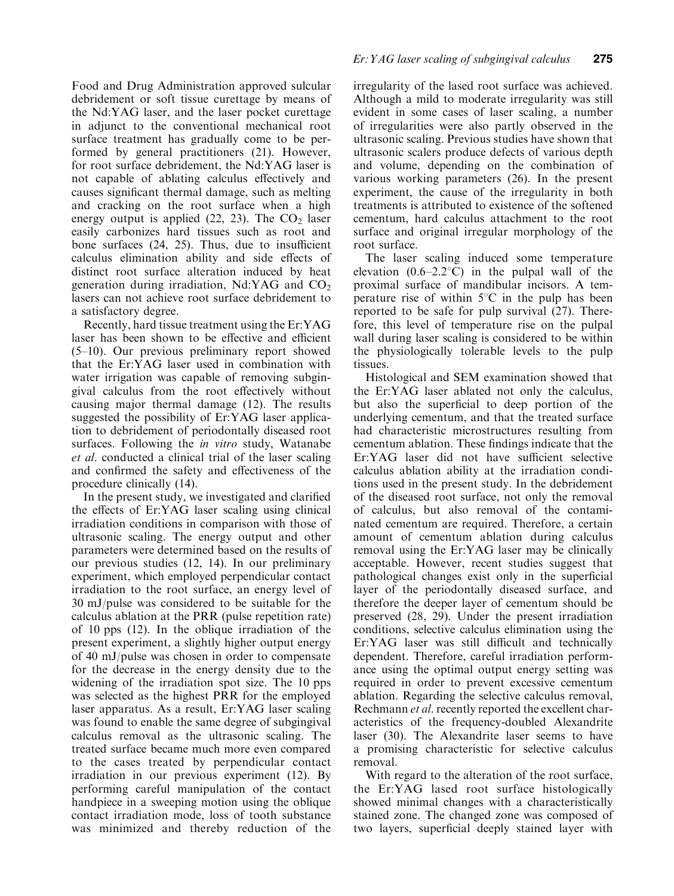Food and Drug Administration approved sulcular debridement or soft tissue curettage by means of the Nd:YAG laser, and the laser pocket curettage in adjunct to the conventional mechanical root surface treatment has gradually come to be performed by general practitioners (21). However, for root surface debridement, the Nd:YAG laser is not capable of ablating calculus effectively and causes significant thermal damage, such as melting and cracking on the root surface when a high energy output is applied  $(22, 23)$ . The  $CO<sub>2</sub>$  laser easily carbonizes hard tissues such as root and bone surfaces  $(24, 25)$ . Thus, due to insufficient calculus elimination ability and side effects of distinct root surface alteration induced by heat generation during irradiation, Nd:YAG and  $CO<sub>2</sub>$ lasers can not achieve root surface debridement to a satisfactory degree.

Recently, hard tissue treatment using the Er:YAG laser has been shown to be effective and efficient  $(5-10)$ . Our previous preliminary report showed that the Er:YAG laser used in combination with water irrigation was capable of removing subgingival calculus from the root effectively without causing major thermal damage (12). The results suggested the possibility of Er:YAG laser application to debridement of periodontally diseased root surfaces. Following the *in vitro* study, Watanabe et al. conducted a clinical trial of the laser scaling and confirmed the safety and effectiveness of the procedure clinically (14).

In the present study, we investigated and clarified the effects of Er:YAG laser scaling using clinical irradiation conditions in comparison with those of ultrasonic scaling. The energy output and other parameters were determined based on the results of our previous studies (12, 14). In our preliminary experiment, which employed perpendicular contact irradiation to the root surface, an energy level of 30 mJ/pulse was considered to be suitable for the calculus ablation at the PRR (pulse repetition rate) of 10 pps (12). In the oblique irradiation of the present experiment, a slightly higher output energy of 40 mJ/pulse was chosen in order to compensate for the decrease in the energy density due to the widening of the irradiation spot size. The 10 pps was selected as the highest PRR for the employed laser apparatus. As a result, Er:YAG laser scaling was found to enable the same degree of subgingival calculus removal as the ultrasonic scaling. The treated surface became much more even compared to the cases treated by perpendicular contact irradiation in our previous experiment (12). By performing careful manipulation of the contact handpiece in a sweeping motion using the oblique contact irradiation mode, loss of tooth substance was minimized and thereby reduction of the irregularity of the lased root surface was achieved. Although a mild to moderate irregularity was still evident in some cases of laser scaling, a number of irregularities were also partly observed in the ultrasonic scaling. Previous studies have shown that ultrasonic scalers produce defects of various depth and volume, depending on the combination of various working parameters (26). In the present experiment, the cause of the irregularity in both treatments is attributed to existence of the softened cementum, hard calculus attachment to the root surface and original irregular morphology of the root surface.

The laser scaling induced some temperature elevation  $(0.6-2.2^{\circ}C)$  in the pulpal wall of the proximal surface of mandibular incisors. A temperature rise of within  $5^{\circ}$ C in the pulp has been reported to be safe for pulp survival (27). Therefore, this level of temperature rise on the pulpal wall during laser scaling is considered to be within the physiologically tolerable levels to the pulp tissues.

Histological and SEM examination showed that the Er:YAG laser ablated not only the calculus, but also the superficial to deep portion of the underlying cementum, and that the treated surface had characteristic microstructures resulting from cementum ablation. These findings indicate that the  $Er:YAG$  laser did not have sufficient selective calculus ablation ability at the irradiation conditions used in the present study. In the debridement of the diseased root surface, not only the removal of calculus, but also removal of the contaminated cementum are required. Therefore, a certain amount of cementum ablation during calculus removal using the Er:YAG laser may be clinically acceptable. However, recent studies suggest that pathological changes exist only in the superficial layer of the periodontally diseased surface, and therefore the deeper layer of cementum should be preserved (28, 29). Under the present irradiation conditions, selective calculus elimination using the Er:YAG laser was still difficult and technically dependent. Therefore, careful irradiation performance using the optimal output energy setting was required in order to prevent excessive cementum ablation. Regarding the selective calculus removal, Rechmann *et al.* recently reported the excellent characteristics of the frequency-doubled Alexandrite laser (30). The Alexandrite laser seems to have a promising characteristic for selective calculus removal.

With regard to the alteration of the root surface, the Er:YAG lased root surface histologically showed minimal changes with a characteristically stained zone. The changed zone was composed of two layers, superficial deeply stained layer with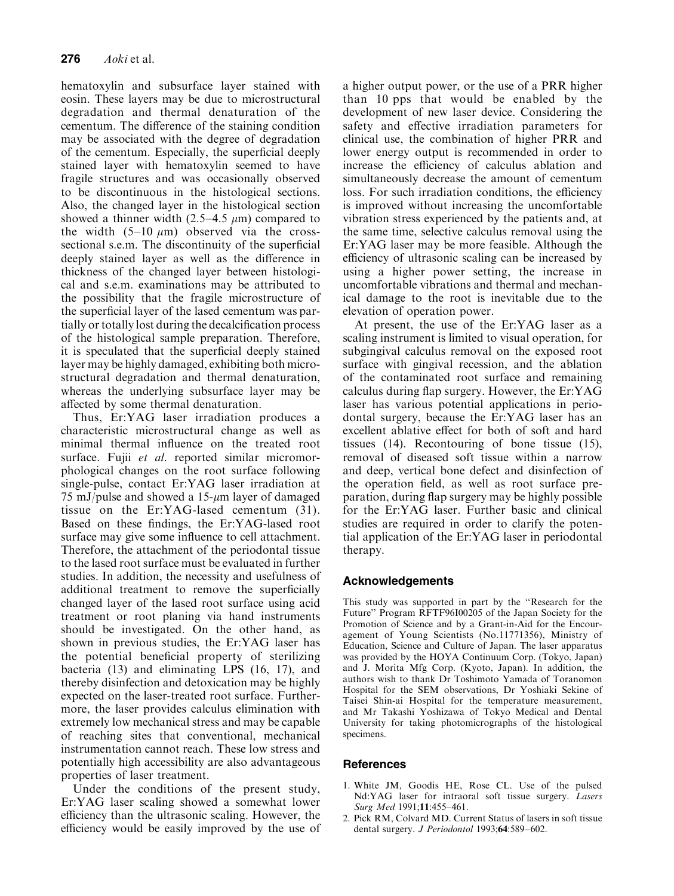hematoxylin and subsurface layer stained with eosin. These layers may be due to microstructural degradation and thermal denaturation of the cementum. The difference of the staining condition may be associated with the degree of degradation of the cementum. Especially, the superficial deeply stained layer with hematoxylin seemed to have fragile structures and was occasionally observed to be discontinuous in the histological sections. Also, the changed layer in the histological section showed a thinner width  $(2.5-4.5 \mu m)$  compared to the width  $(5-10 \mu m)$  observed via the crosssectional s.e.m. The discontinuity of the superficial deeply stained layer as well as the difference in thickness of the changed layer between histological and s.e.m. examinations may be attributed to the possibility that the fragile microstructure of the superficial layer of the lased cementum was partially or totally lost during the decalcification process of the histological sample preparation. Therefore, it is speculated that the superficial deeply stained layer may be highly damaged, exhibiting both microstructural degradation and thermal denaturation, whereas the underlying subsurface layer may be affected by some thermal denaturation.

Thus, Er:YAG laser irradiation produces a characteristic microstructural change as well as minimal thermal influence on the treated root surface. Fujii et al. reported similar micromorphological changes on the root surface following single-pulse, contact Er:YAG laser irradiation at 75 mJ/pulse and showed a  $15$ - $\mu$ m layer of damaged tissue on the Er:YAG-lased cementum (31). Based on these findings, the Er:YAG-lased root surface may give some influence to cell attachment. Therefore, the attachment of the periodontal tissue to the lased root surface must be evaluated in further studies. In addition, the necessity and usefulness of additional treatment to remove the superficially changed layer of the lased root surface using acid treatment or root planing via hand instruments should be investigated. On the other hand, as shown in previous studies, the Er:YAG laser has the potential beneficial property of sterilizing bacteria (13) and eliminating LPS (16, 17), and thereby disinfection and detoxication may be highly expected on the laser-treated root surface. Furthermore, the laser provides calculus elimination with extremely low mechanical stress and may be capable of reaching sites that conventional, mechanical instrumentation cannot reach. These low stress and potentially high accessibility are also advantageous properties of laser treatment.

Under the conditions of the present study, Er:YAG laser scaling showed a somewhat lower efficiency than the ultrasonic scaling. However, the efficiency would be easily improved by the use of a higher output power, or the use of a PRR higher than 10 pps that would be enabled by the development of new laser device. Considering the safety and effective irradiation parameters for clinical use, the combination of higher PRR and lower energy output is recommended in order to increase the efficiency of calculus ablation and simultaneously decrease the amount of cementum loss. For such irradiation conditions, the efficiency is improved without increasing the uncomfortable vibration stress experienced by the patients and, at the same time, selective calculus removal using the Er:YAG laser may be more feasible. Although the efficiency of ultrasonic scaling can be increased by using a higher power setting, the increase in uncomfortable vibrations and thermal and mechanical damage to the root is inevitable due to the elevation of operation power.

At present, the use of the Er:YAG laser as a scaling instrument is limited to visual operation, for subgingival calculus removal on the exposed root surface with gingival recession, and the ablation of the contaminated root surface and remaining calculus during flap surgery. However, the  $Er:YAG$ laser has various potential applications in periodontal surgery, because the Er:YAG laser has an excellent ablative effect for both of soft and hard tissues (14). Recontouring of bone tissue (15), removal of diseased soft tissue within a narrow and deep, vertical bone defect and disinfection of the operation field, as well as root surface preparation, during flap surgery may be highly possible for the Er:YAG laser. Further basic and clinical studies are required in order to clarify the potential application of the Er:YAG laser in periodontal therapy.

# Acknowledgements

This study was supported in part by the "Research for the Future'' Program RFTF96I00205 of the Japan Society for the Promotion of Science and by a Grant-in-Aid for the Encouragement of Young Scientists (No.11771356), Ministry of Education, Science and Culture of Japan. The laser apparatus was provided by the HOYA Continuum Corp. (Tokyo, Japan) and J. Morita Mfg Corp. (Kyoto, Japan). In addition, the authors wish to thank Dr Toshimoto Yamada of Toranomon Hospital for the SEM observations, Dr Yoshiaki Sekine of Taisei Shin-ai Hospital for the temperature measurement, and Mr Takashi Yoshizawa of Tokyo Medical and Dental University for taking photomicrographs of the histological specimens.

# **References**

- 1. White JM, Goodis HE, Rose CL. Use of the pulsed Nd:YAG laser for intraoral soft tissue surgery. Lasers Surg Med 1991;11:455-461.
- 2. Pick RM, Colvard MD. Current Status of lasers in soft tissue dental surgery. J Periodontol 1993;64:589-602.